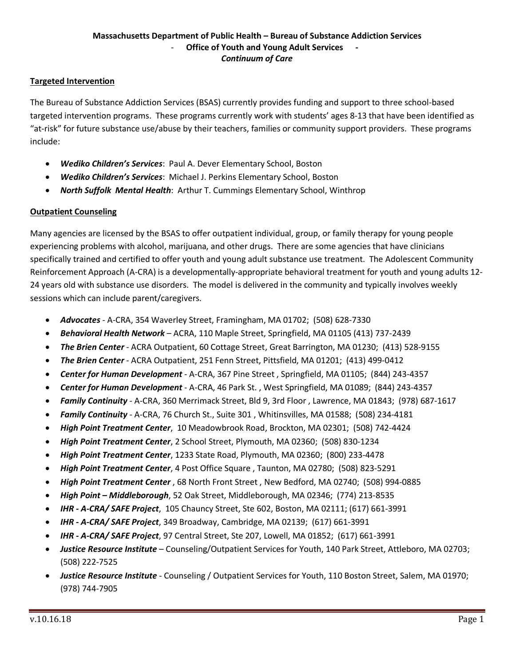### **Massachusetts Department of Public Health – Bureau of Substance Addiction Services Office of Youth and Young Adult Services** *Continuum of Care*

### **Targeted Intervention**

The Bureau of Substance Addiction Services (BSAS) currently provides funding and support to three school-based targeted intervention programs. These programs currently work with students' ages 8-13 that have been identified as "at-risk" for future substance use/abuse by their teachers, families or community support providers. These programs include:

- *Wediko Children's Services*: Paul A. Dever Elementary School, Boston
- *Wediko Children's Services*: Michael J. Perkins Elementary School, Boston
- *North Suffolk Mental Health*: Arthur T. Cummings Elementary School, Winthrop

### **Outpatient Counseling**

Many agencies are licensed by the BSAS to offer outpatient individual, group, or family therapy for young people experiencing problems with alcohol, marijuana, and other drugs. There are some agencies that have clinicians specifically trained and certified to offer youth and young adult substance use treatment. The Adolescent Community Reinforcement Approach (A-CRA) is a developmentally-appropriate behavioral treatment for youth and young adults 12- 24 years old with substance use disorders. The model is delivered in the community and typically involves weekly sessions which can include parent/caregivers.

- *Advocates* A-CRA, 354 Waverley Street, Framingham, MA 01702; (508) 628-7330
- *Behavioral Health Network* ACRA, 110 Maple Street, Springfield, MA 01105 (413) 737-2439
- *The Brien Center* ACRA Outpatient, 60 Cottage Street, Great Barrington, MA 01230; (413) 528-9155
- *The Brien Center* ACRA Outpatient, 251 Fenn Street, Pittsfield, MA 01201; (413) 499-0412
- *Center for Human Development* A-CRA, 367 Pine Street , Springfield, MA 01105; (844) 243-4357
- *Center for Human Development* A-CRA, 46 Park St. , West Springfield, MA 01089; (844) 243-4357
- *Family Continuity* A-CRA, 360 Merrimack Street, Bld 9, 3rd Floor , Lawrence, MA 01843; (978) 687-1617
- *Family Continuity* A-CRA, 76 Church St., Suite 301 , Whitinsvilles, MA 01588; (508) 234-4181
- *High Point Treatment Center*, 10 Meadowbrook Road, Brockton, MA 02301; (508) 742-4424
- *High Point Treatment Center*, 2 School Street, Plymouth, MA 02360; (508) 830-1234
- *High Point Treatment Center*, 1233 State Road, Plymouth, MA 02360; (800) 233-4478
- *High Point Treatment Center*, 4 Post Office Square , Taunton, MA 02780; (508) 823-5291
- *High Point Treatment Center* , 68 North Front Street , New Bedford, MA 02740; (508) 994-0885
- *High Point – Middleborough*, 52 Oak Street, Middleborough, MA 02346; (774) 213-8535
- *IHR - A-CRA/ SAFE Project*, 105 Chauncy Street, Ste 602, Boston, MA 02111; (617) 661-3991
- *IHR - A-CRA/ SAFE Project*, 349 Broadway, Cambridge, MA 02139; (617) 661-3991
- *IHR - A-CRA/ SAFE Project*, 97 Central Street, Ste 207, Lowell, MA 01852; (617) 661-3991
- *Justice Resource Institute* Counseling/Outpatient Services for Youth, 140 Park Street, Attleboro, MA 02703; (508) 222-7525
- *Justice Resource Institute* Counseling / Outpatient Services for Youth, 110 Boston Street, Salem, MA 01970; (978) 744-7905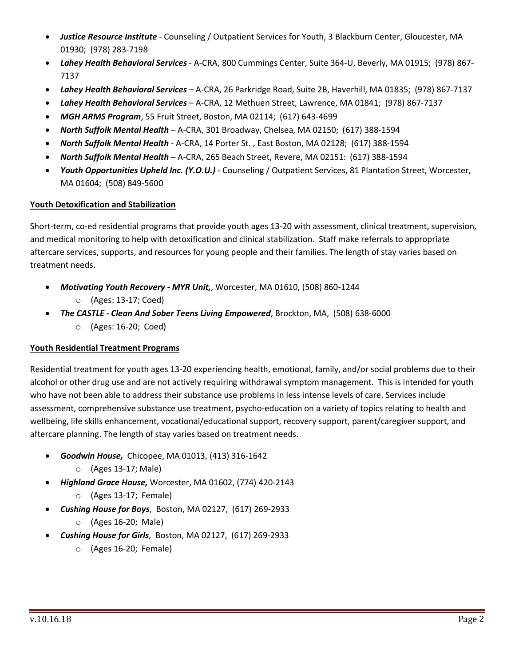- *Justice Resource Institute* Counseling / Outpatient Services for Youth, 3 Blackburn Center, Gloucester, MA 01930; (978) 283-7198
- *Lahey Health Behavioral Services* A-CRA, 800 Cummings Center, Suite 364-U, Beverly, MA 01915; (978) 867- 7137
- *Lahey Health Behavioral Services*  A-CRA, 26 Parkridge Road, Suite 2B, Haverhill, MA 01835; (978) 867-7137
- *Lahey Health Behavioral Services*  A-CRA, 12 Methuen Street, Lawrence, MA 01841; (978) 867-7137
- *MGH ARMS Program*, 55 Fruit Street, Boston, MA 02114; (617) 643-4699
- *North Suffolk Mental Health* A-CRA, 301 Broadway, Chelsea, MA 02150; (617) 388-1594
- *North Suffolk Mental Health* A-CRA, 14 Porter St. , East Boston, MA 02128; (617) 388-1594
- *North Suffolk Mental Health* A-CRA, 265 Beach Street, Revere, MA 02151: (617) 388-1594
- *Youth Opportunities Upheld Inc. (Y.O.U.)* Counseling / Outpatient Services, 81 Plantation Street, Worcester, MA 01604; (508) 849-5600

### **Youth Detoxification and Stabilization**

Short-term, co-ed residential programs that provide youth ages 13-20 with assessment, clinical treatment, supervision, and medical monitoring to help with detoxification and clinical stabilization. Staff make referrals to appropriate aftercare services, supports, and resources for young people and their families. The length of stay varies based on treatment needs.

- *Motivating Youth Recovery - MYR Unit,*, Worcester, MA 01610, (508) 860-1244 o (Ages: 13-17; Coed)
- *The CASTLE - Clean And Sober Teens Living Empowered*, Brockton, MA, (508) 638-6000 o (Ages: 16-20; Coed)

# **Youth Residential Treatment Programs**

Residential treatment for youth ages 13-20 experiencing health, emotional, family, and/or social problems due to their alcohol or other drug use and are not actively requiring withdrawal symptom management. This is intended for youth who have not been able to address their substance use problems in less intense levels of care. Services include assessment, comprehensive substance use treatment, psycho-education on a variety of topics relating to health and wellbeing, life skills enhancement, vocational/educational support, recovery support, parent/caregiver support, and aftercare planning. The length of stay varies based on treatment needs.

- *Goodwin House,* Chicopee, MA 01013, (413) 316-1642
	- o (Ages 13-17; Male)
- *Highland Grace House,* Worcester, MA 01602, (774) 420-2143
	- o (Ages 13-17; Female)
- *Cushing House for Boys*, Boston, MA 02127, (617) 269-2933
	- o (Ages 16-20; Male)
- *Cushing House for Girls*, Boston, MA 02127, (617) 269-2933
	- o (Ages 16-20; Female)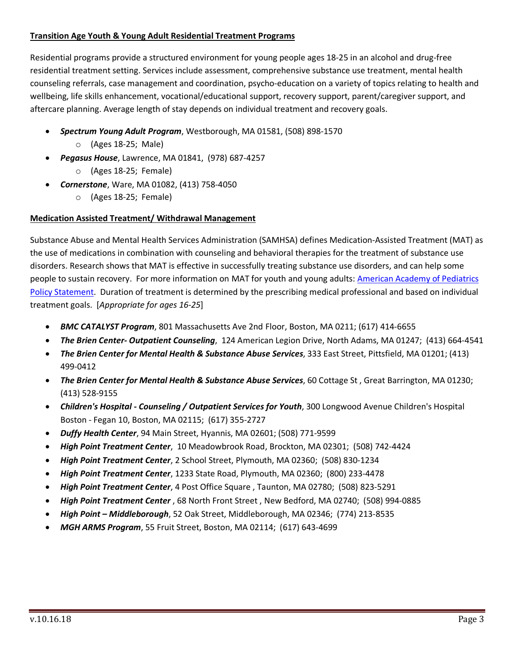# **Transition Age Youth & Young Adult Residential Treatment Programs**

Residential programs provide a structured environment for young people ages 18-25 in an alcohol and drug-free residential treatment setting. Services include assessment, comprehensive substance use treatment, mental health counseling referrals, case management and coordination, psycho-education on a variety of topics relating to health and wellbeing, life skills enhancement, vocational/educational support, recovery support, parent/caregiver support, and aftercare planning. Average length of stay depends on individual treatment and recovery goals.

- *Spectrum Young Adult Program*, Westborough, MA 01581, (508) 898-1570
	- o (Ages 18-25; Male)
- *Pegasus House*, Lawrence, MA 01841, (978) 687-4257
	- o (Ages 18-25; Female)
- *Cornerstone*, Ware, MA 01082, (413) 758-4050
	- o (Ages 18-25; Female)

# **Medication Assisted Treatment/ Withdrawal Management**

Substance Abuse and Mental Health Services Administration (SAMHSA) defines Medication-Assisted Treatment (MAT) as the use of medications in combination with counseling and behavioral therapies for the treatment of substance use disorders. Research shows that MAT is effective in successfully treating substance use disorders, and can help some people to sustain recovery. For more information on MAT for youth and young adults: American Academy of Pediatrics Policy Statement. Duration of treatment is determined by the prescribing medical professional and based on individual treatment goals. [*Appropriate for ages 16-25*]

- *BMC CATALYST Program*, 801 Massachusetts Ave 2nd Floor, Boston, MA 0211; (617) 414-6655
- *The Brien Center- Outpatient Counseling*, 124 American Legion Drive, North Adams, MA 01247; (413) 664-4541
- *The Brien Center for Mental Health & Substance Abuse Services*, 333 East Street, Pittsfield, MA 01201; (413) 499-0412
- *The Brien Center for Mental Health & Substance Abuse Services*, 60 Cottage St , Great Barrington, MA 01230; (413) 528-9155
- *Children's Hospital - Counseling / Outpatient Services for Youth*, 300 Longwood Avenue Children's Hospital Boston - Fegan 10, Boston, MA 02115; (617) 355-2727
- *Duffy Health Center*, 94 Main Street, Hyannis, MA 02601; (508) 771-9599
- *High Point Treatment Center*, 10 Meadowbrook Road, Brockton, MA 02301; (508) 742-4424
- *High Point Treatment Center*, 2 School Street, Plymouth, MA 02360; (508) 830-1234
- *High Point Treatment Center*, 1233 State Road, Plymouth, MA 02360; (800) 233-4478
- *High Point Treatment Center*, 4 Post Office Square , Taunton, MA 02780; (508) 823-5291
- *High Point Treatment Center* , 68 North Front Street , New Bedford, MA 02740; (508) 994-0885
- *High Point – Middleborough*, 52 Oak Street, Middleborough, MA 02346; (774) 213-8535
- *MGH ARMS Program*, 55 Fruit Street, Boston, MA 02114; (617) 643-4699